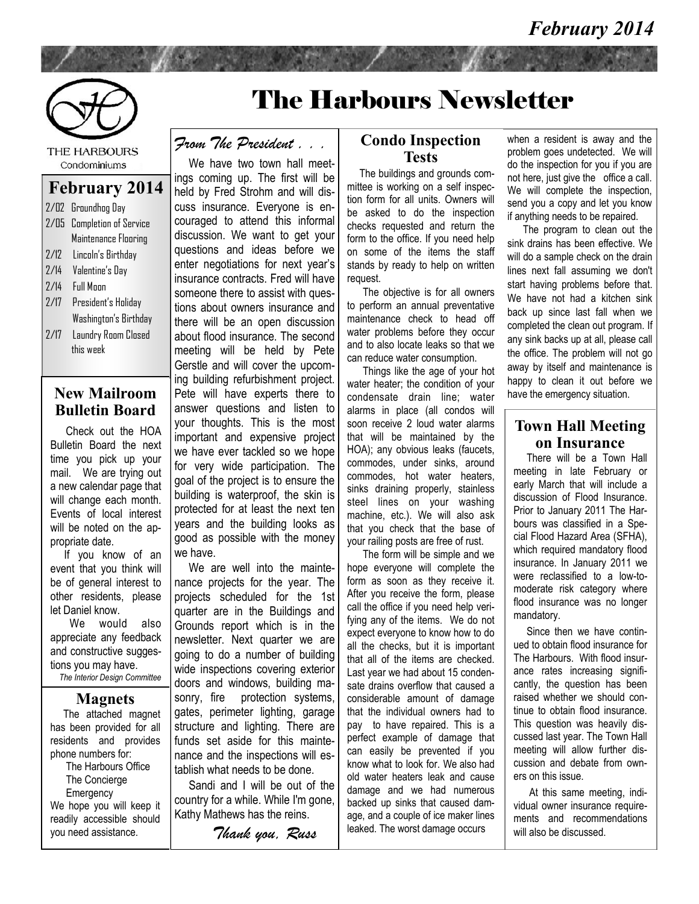

THE HARBOURS Condominiums

#### **February 2014**

| $2/\mathbb{D}2$ | Groundhog Day                |
|-----------------|------------------------------|
| 2/05            | <b>Completion of Service</b> |
|                 | Maintenance Flooring         |
| 7/17            | Lincoln's Birthday           |
| 7/14            | Valentine's Day              |
| 7/14            | <b>Full Moon</b>             |
| 7/17            | President's Holiday          |
|                 | Washington's Birthday        |
| 2/17            | Laundry Room Closed          |
|                 | this week                    |
|                 |                              |

#### **New Mailroom Bulletin Board**

 Check out the HOA Bulletin Board the next time you pick up your mail. We are trying out a new calendar page that will change each month. Events of local interest will be noted on the appropriate date.

 If you know of an event that you think will be of general interest to other residents, please let Daniel know.

 We would also appreciate any feedback and constructive suggestions you may have.

*The Interior Design Committee*

#### **Magnets**

 The attached magnet has been provided for all residents and provides phone numbers for: The Harbours Office The Concierge **Emergency** We hope you will keep it readily accessible should you need assistance.

# The Harbours Newsletter

## *From The President . . .*

 We have two town hall meetings coming up. The first will be held by Fred Strohm and will discuss insurance. Everyone is encouraged to attend this informal discussion. We want to get your questions and ideas before we enter negotiations for next year's insurance contracts. Fred will have someone there to assist with questions about owners insurance and there will be an open discussion about flood insurance. The second meeting will be held by Pete Gerstle and will cover the upcoming building refurbishment project. Pete will have experts there to answer questions and listen to your thoughts. This is the most important and expensive project we have ever tackled so we hope for very wide participation. The goal of the project is to ensure the building is waterproof, the skin is protected for at least the next ten years and the building looks as good as possible with the money we have.

We are well into the maintenance projects for the year. The projects scheduled for the 1st quarter are in the Buildings and Grounds report which is in the newsletter. Next quarter we are going to do a number of building wide inspections covering exterior doors and windows, building masonry, fire protection systems, gates, perimeter lighting, garage structure and lighting. There are funds set aside for this maintenance and the inspections will establish what needs to be done.

 Sandi and I will be out of the country for a while. While I'm gone, Kathy Mathews has the reins.

*Thank you, Russ*

#### **Condo Inspection Tests**

 The buildings and grounds committee is working on a self inspection form for all units. Owners will be asked to do the inspection checks requested and return the form to the office. If you need help on some of the items the staff stands by ready to help on written request.

 The objective is for all owners to perform an annual preventative maintenance check to head off water problems before they occur and to also locate leaks so that we can reduce water consumption.

 Things like the age of your hot water heater; the condition of your condensate drain line; water alarms in place (all condos will soon receive 2 loud water alarms that will be maintained by the HOA); any obvious leaks (faucets, commodes, under sinks, around commodes, hot water heaters, sinks draining properly, stainless steel lines on your washing machine, etc.). We will also ask that you check that the base of your railing posts are free of rust.

 The form will be simple and we hope everyone will complete the form as soon as they receive it. After you receive the form, please call the office if you need help verifying any of the items. We do not expect everyone to know how to do all the checks, but it is important that all of the items are checked. Last year we had about 15 condensate drains overflow that caused a considerable amount of damage that the individual owners had to pay to have repaired. This is a perfect example of damage that can easily be prevented if you know what to look for. We also had old water heaters leak and cause damage and we had numerous backed up sinks that caused damage, and a couple of ice maker lines leaked. The worst damage occurs

when a resident is away and the problem goes undetected. We will do the inspection for you if you are not here, just give the office a call. We will complete the inspection, send you a copy and let you know if anything needs to be repaired.

 The program to clean out the sink drains has been effective. We will do a sample check on the drain lines next fall assuming we don't start having problems before that. We have not had a kitchen sink back up since last fall when we completed the clean out program. If any sink backs up at all, please call the office. The problem will not go away by itself and maintenance is happy to clean it out before we have the emergency situation.

### **Town Hall Meeting on Insurance**

 There will be a Town Hall meeting in late February or early March that will include a discussion of Flood Insurance. Prior to January 2011 The Harbours was classified in a Special Flood Hazard Area (SFHA), which required mandatory flood insurance. In January 2011 we were reclassified to a low-tomoderate risk category where flood insurance was no longer mandatory.

 Since then we have continued to obtain flood insurance for The Harbours. With flood insurance rates increasing significantly, the question has been raised whether we should continue to obtain flood insurance. This question was heavily discussed last year. The Town Hall meeting will allow further discussion and debate from owners on this issue.

 At this same meeting, individual owner insurance requirements and recommendations will also be discussed.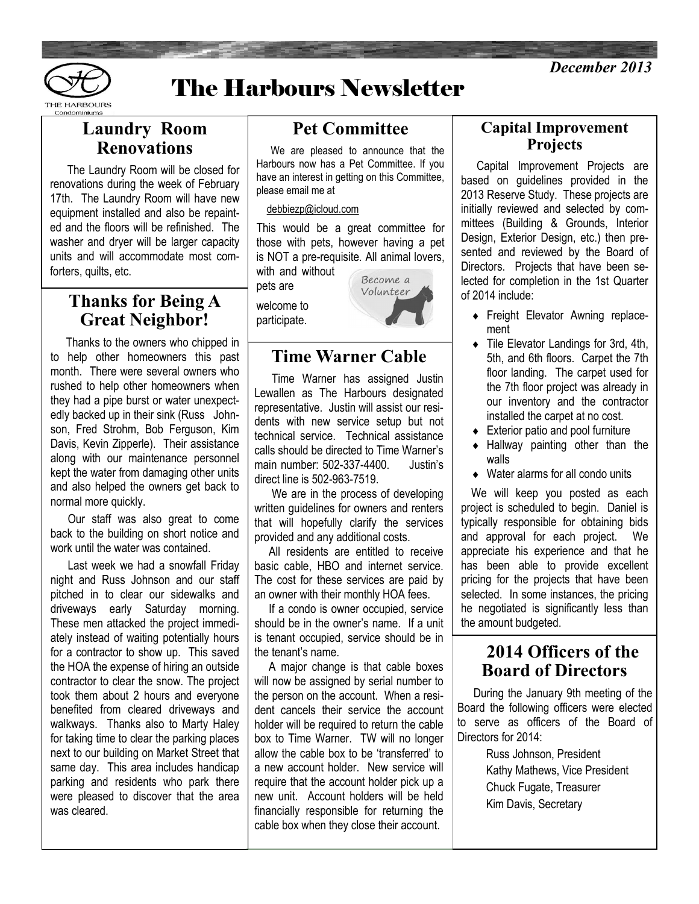



# The Harbours Newsletter

# **Laundry Room Renovations**

 The Laundry Room will be closed for renovations during the week of February 17th. The Laundry Room will have new equipment installed and also be repainted and the floors will be refinished. The washer and dryer will be larger capacity units and will accommodate most comforters, quilts, etc.

# **Thanks for Being A Great Neighbor!**

 Thanks to the owners who chipped in to help other homeowners this past month. There were several owners who rushed to help other homeowners when they had a pipe burst or water unexpectedly backed up in their sink (Russ Johnson, Fred Strohm, Bob Ferguson, Kim Davis, Kevin Zipperle). Their assistance along with our maintenance personnel kept the water from damaging other units and also helped the owners get back to normal more quickly.

 Our staff was also great to come back to the building on short notice and work until the water was contained.

 Last week we had a snowfall Friday night and Russ Johnson and our staff pitched in to clear our sidewalks and driveways early Saturday morning. These men attacked the project immediately instead of waiting potentially hours for a contractor to show up. This saved the HOA the expense of hiring an outside contractor to clear the snow. The project took them about 2 hours and everyone benefited from cleared driveways and walkways. Thanks also to Marty Haley for taking time to clear the parking places next to our building on Market Street that same day. This area includes handicap parking and residents who park there were pleased to discover that the area was cleared.

# **Pet Committee**

 We are pleased to announce that the Harbours now has a Pet Committee. If you have an interest in getting on this Committee, please email me at

#### [debbiezp@icloud.com](mailto:debbiezp@icloud.com)

This would be a great committee for those with pets, however having a pet is NOT a pre-requisite. All animal lovers, with and without

pets are welcome to

participate.



# **Time Warner Cable**

 Time Warner has assigned Justin Lewallen as The Harbours designated representative. Justin will assist our residents with new service setup but not technical service. Technical assistance calls should be directed to Time Warner's main number: 502-337-4400. Justin's direct line is 502-963-7519.

 We are in the process of developing written guidelines for owners and renters that will hopefully clarify the services provided and any additional costs.

 All residents are entitled to receive basic cable, HBO and internet service. The cost for these services are paid by an owner with their monthly HOA fees.

 If a condo is owner occupied, service should be in the owner's name. If a unit is tenant occupied, service should be in the tenant's name.

 A major change is that cable boxes will now be assigned by serial number to the person on the account. When a resident cancels their service the account holder will be required to return the cable box to Time Warner. TW will no longer allow the cable box to be 'transferred' to a new account holder. New service will require that the account holder pick up a new unit. Account holders will be held financially responsible for returning the cable box when they close their account.

### **Capital Improvement Projects**

 Capital Improvement Projects are based on guidelines provided in the 2013 Reserve Study. These projects are initially reviewed and selected by committees (Building & Grounds, Interior Design, Exterior Design, etc.) then presented and reviewed by the Board of Directors. Projects that have been selected for completion in the 1st Quarter of 2014 include:

- **Freight Elevator Awning replace**ment
- Tile Elevator Landings for 3rd, 4th, 5th, and 6th floors. Carpet the 7th floor landing. The carpet used for the 7th floor project was already in our inventory and the contractor installed the carpet at no cost.
- ◆ Exterior patio and pool furniture
- Hallway painting other than the walls
- Water alarms for all condo units

We will keep you posted as each project is scheduled to begin. Daniel is typically responsible for obtaining bids and approval for each project. We appreciate his experience and that he has been able to provide excellent pricing for the projects that have been selected. In some instances, the pricing he negotiated is significantly less than the amount budgeted.

# **2014 Officers of the Board of Directors**

 During the January 9th meeting of the Board the following officers were elected to serve as officers of the Board of Directors for 2014:

> Russ Johnson, President Kathy Mathews, Vice President Chuck Fugate, Treasurer Kim Davis, Secretary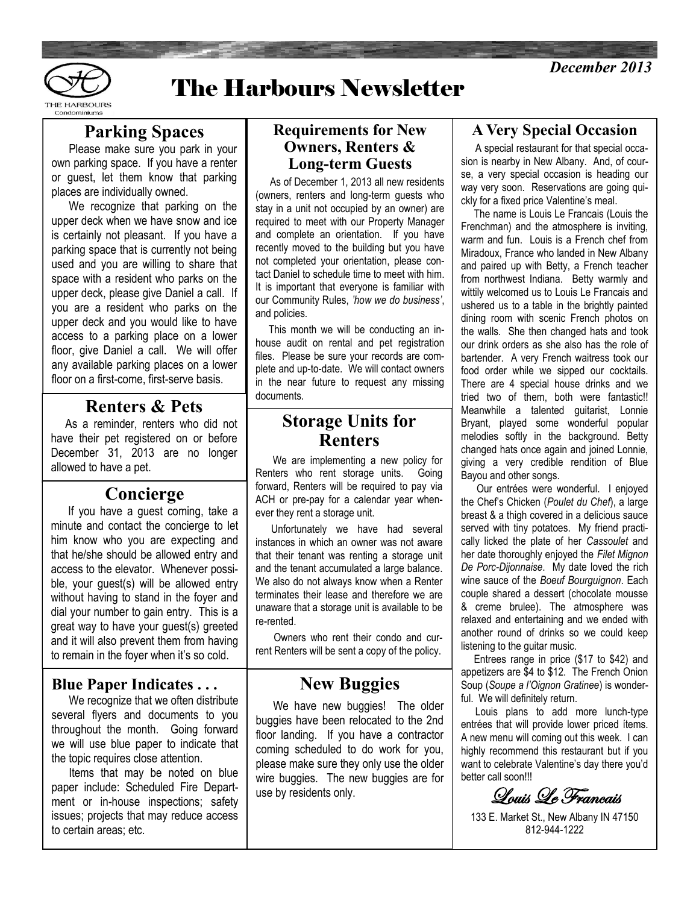



# The Harbours Newsletter

# **Parking Spaces**

 Please make sure you park in your own parking space. If you have a renter or guest, let them know that parking places are individually owned.

 We recognize that parking on the upper deck when we have snow and ice is certainly not pleasant. If you have a parking space that is currently not being used and you are willing to share that space with a resident who parks on the upper deck, please give Daniel a call. If you are a resident who parks on the upper deck and you would like to have access to a parking place on a lower floor, give Daniel a call. We will offer any available parking places on a lower floor on a first-come, first-serve basis.

# **Renters & Pets**

 As a reminder, renters who did not have their pet registered on or before December 31, 2013 are no longer allowed to have a pet.

### **Concierge**

 If you have a guest coming, take a minute and contact the concierge to let him know who you are expecting and that he/she should be allowed entry and access to the elevator. Whenever possible, your guest(s) will be allowed entry without having to stand in the foyer and dial your number to gain entry. This is a great way to have your guest(s) greeted and it will also prevent them from having to remain in the foyer when it's so cold.

#### **Blue Paper Indicates . . .**

 We recognize that we often distribute several flyers and documents to you throughout the month. Going forward we will use blue paper to indicate that the topic requires close attention.

 Items that may be noted on blue paper include: Scheduled Fire Department or in-house inspections; safety issues; projects that may reduce access to certain areas; etc.

#### **Requirements for New Owners, Renters & Long-term Guests**

 As of December 1, 2013 all new residents (owners, renters and long-term guests who stay in a unit not occupied by an owner) are required to meet with our Property Manager and complete an orientation. If you have recently moved to the building but you have not completed your orientation, please contact Daniel to schedule time to meet with him. It is important that everyone is familiar with our Community Rules, *'how we do business'*, and policies.

 This month we will be conducting an inhouse audit on rental and pet registration files. Please be sure your records are complete and up-to-date. We will contact owners in the near future to request any missing documents.

# **Storage Units for Renters**

 We are implementing a new policy for Renters who rent storage units. Going forward, Renters will be required to pay via ACH or pre-pay for a calendar year whenever they rent a storage unit.

 Unfortunately we have had several instances in which an owner was not aware that their tenant was renting a storage unit and the tenant accumulated a large balance. We also do not always know when a Renter terminates their lease and therefore we are unaware that a storage unit is available to be re-rented.

 Owners who rent their condo and current Renters will be sent a copy of the policy.

# **New Buggies**

We have new buggies! The older buggies have been relocated to the 2nd floor landing. If you have a contractor coming scheduled to do work for you, please make sure they only use the older wire buggies. The new buggies are for use by residents only.

## **A Very Special Occasion**

 A special restaurant for that special occasion is nearby in New Albany. And, of course, a very special occasion is heading our way very soon. Reservations are going quickly for a fixed price Valentine's meal.

 The name is Louis Le Francais (Louis the Frenchman) and the atmosphere is inviting, warm and fun. Louis is a French chef from Miradoux, France who landed in New Albany and paired up with Betty, a French teacher from northwest Indiana. Betty warmly and wittily welcomed us to Louis Le Francais and ushered us to a table in the brightly painted dining room with scenic French photos on the walls. She then changed hats and took our drink orders as she also has the role of bartender. A very French waitress took our food order while we sipped our cocktails. There are 4 special house drinks and we tried two of them, both were fantastic!! Meanwhile a talented guitarist, Lonnie Bryant, played some wonderful popular melodies softly in the background. Betty changed hats once again and joined Lonnie, giving a very credible rendition of Blue Bayou and other songs.

 Our entrées were wonderful. I enjoyed the Chef's Chicken (*Poulet du Chef*), a large breast & a thigh covered in a delicious sauce served with tiny potatoes. My friend practically licked the plate of her *Cassoulet* and her date thoroughly enjoyed the *Filet Mignon De Porc-Dijonnaise*. My date loved the rich wine sauce of the *Boeuf Bourguignon*. Each couple shared a dessert (chocolate mousse & creme brulee). The atmosphere was relaxed and entertaining and we ended with another round of drinks so we could keep listening to the guitar music.

 Entrees range in price (\$17 to \$42) and appetizers are \$4 to \$12. The French Onion Soup (*Soupe a l'Oignon Gratinee*) is wonderful. We will definitely return.

 Louis plans to add more lunch-type entrées that will provide lower priced ítems. A new menu will coming out this week. I can highly recommend this restaurant but if you want to celebrate Valentine's day there you'd better call soon!!!

Louis Le Francais

<sup>133</sup> E. Market St., New Albany IN 47150 812-944-1222